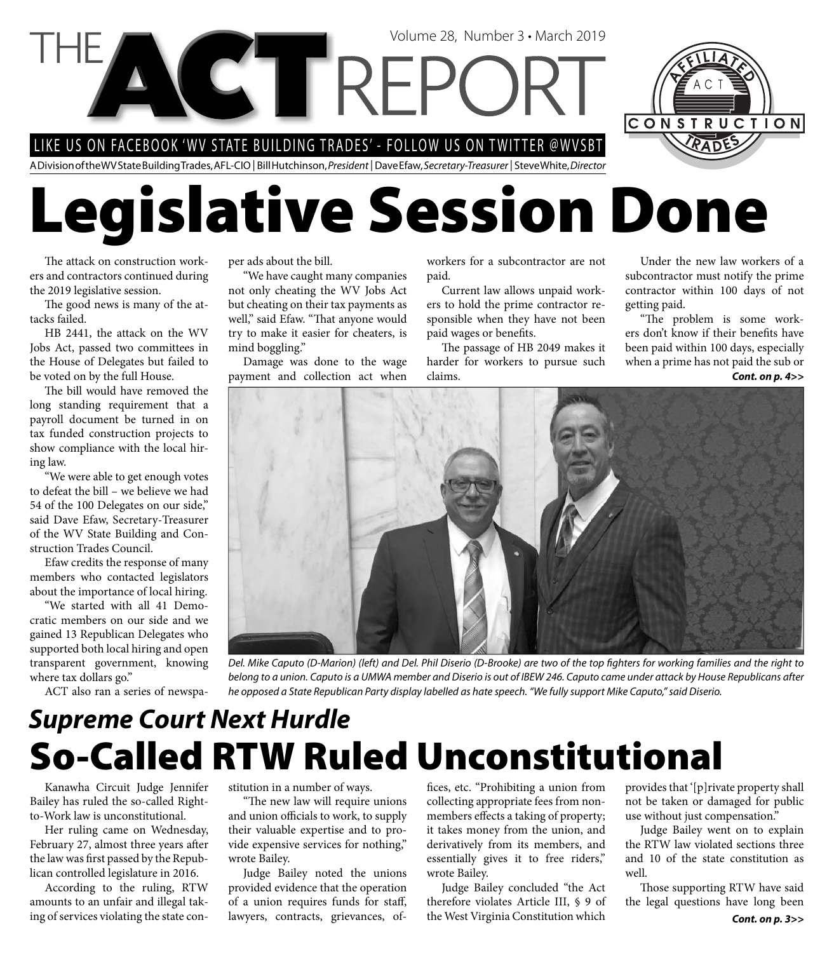LIKE US ON FACEBOOK 'WV STATE BUILDING TRADES' - FOLLOW US ON TWITTER @WVSBT

A Division of the WV State Building Trades, AFL-CIO | Bill Hutchinson, President | Dave Efaw, Secretary-Treasurer | Steve White, Director

# **Legislative Session Done**

Volume 28, Number 3 • March 2019

The attack on construction workers and contractors continued during the 2019 legislative session.

The good news is many of the attacks failed.

HB 2441, the attack on the WV Jobs Act, passed two committees in the House of Delegates but failed to be voted on by the full House.

The bill would have removed the long standing requirement that a payroll document be turned in on tax funded construction projects to show compliance with the local hiring law.

"We were able to get enough votes to defeat the bill – we believe we had 54 of the 100 Delegates on our side," said Dave Efaw, Secretary-Treasurer of the WV State Building and Construction Trades Council.

Efaw credits the response of many members who contacted legislators about the importance of local hiring.

"We started with all 41 Democratic members on our side and we gained 13 Republican Delegates who supported both local hiring and open transparent government, knowing where tax dollars go."

ACT also ran a series of newspa-

per ads about the bill.

"We have caught many companies not only cheating the WV Jobs Act but cheating on their tax payments as well," said Efaw. "That anyone would try to make it easier for cheaters, is mind boggling."

Damage was done to the wage payment and collection act when workers for a subcontractor are not paid.

Current law allows unpaid workers to hold the prime contractor responsible when they have not been paid wages or benefits.

The passage of HB 2049 makes it harder for workers to pursue such claims.

Under the new law workers of a subcontractor must notify the prime contractor within 100 days of not getting paid.

"The problem is some workers don't know if their benefits have been paid within 100 days, especially when a prime has not paid the sub or *Cont. on p. 4>>*



Del. Mike Caputo (D-Marion) (left) and Del. Phil Diserio (D-Brooke) are two of the top fighters for working families and the right to belong to a union. Caputo is a UMWA member and Diserio is out of IBEW 246. Caputo came under attack by House Republicans after he opposed a State Republican Party display labelled as hate speech. "We fully support Mike Caputo," said Diserio.

### **So-Called RTW Ruled Unconstitutional** *Supreme Court Next Hurdle*

Kanawha Circuit Judge Jennifer Bailey has ruled the so-called Rightto-Work law is unconstitutional.

Her ruling came on Wednesday, February 27, almost three years after the law was first passed by the Republican controlled legislature in 2016.

According to the ruling, RTW amounts to an unfair and illegal taking of services violating the state constitution in a number of ways.

"The new law will require unions and union officials to work, to supply their valuable expertise and to provide expensive services for nothing," wrote Bailey.

Judge Bailey noted the unions provided evidence that the operation of a union requires funds for staff, lawyers, contracts, grievances, offices, etc. "Prohibiting a union from collecting appropriate fees from nonmembers effects a taking of property; it takes money from the union, and derivatively from its members, and essentially gives it to free riders," wrote Bailey.

Judge Bailey concluded "the Act therefore violates Article III, § 9 of the West Virginia Constitution which

provides that '[p]rivate property shall not be taken or damaged for public use without just compensation."

Judge Bailey went on to explain the RTW law violated sections three and 10 of the state constitution as well.

Those supporting RTW have said the legal questions have long been

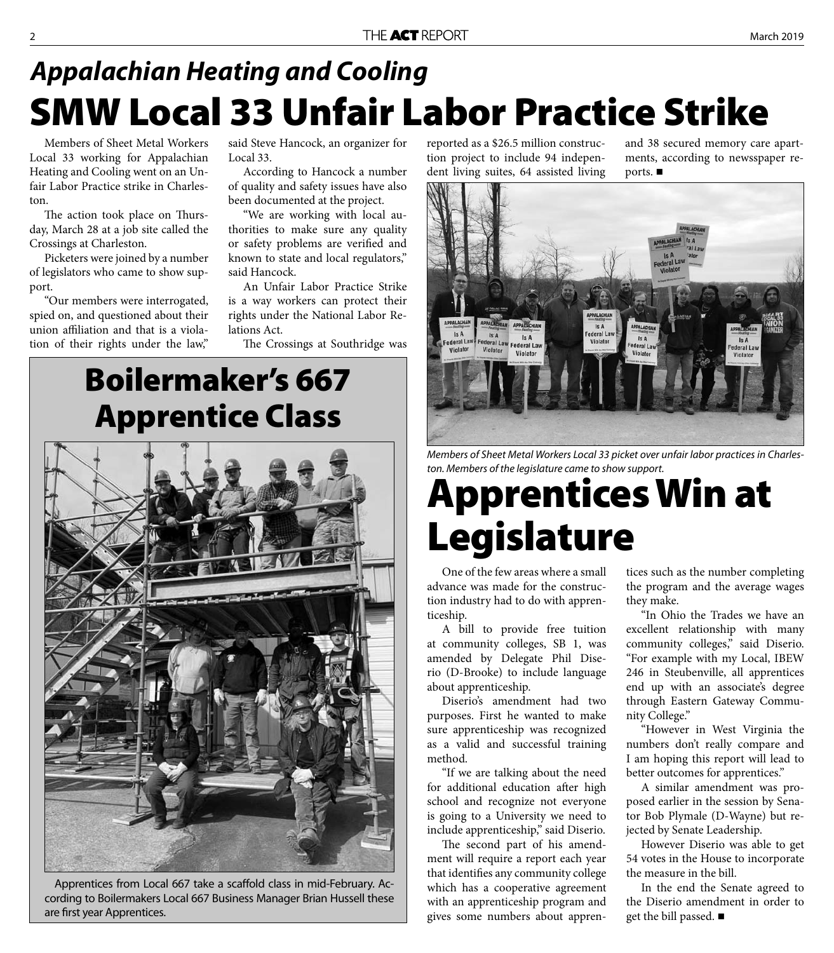### **SMW Local 33 Unfair Labor Practice Strike** *Appalachian Heating and Cooling*

Members of Sheet Metal Workers Local 33 working for Appalachian Heating and Cooling went on an Unfair Labor Practice strike in Charleston.

The action took place on Thursday, March 28 at a job site called the Crossings at Charleston.

Picketers were joined by a number of legislators who came to show support.

"Our members were interrogated, spied on, and questioned about their union affiliation and that is a violation of their rights under the law,"

said Steve Hancock, an organizer for Local 33.

According to Hancock a number of quality and safety issues have also been documented at the project.

"We are working with local authorities to make sure any quality or safety problems are verified and known to state and local regulators," said Hancock.

An Unfair Labor Practice Strike is a way workers can protect their rights under the National Labor Relations Act.

The Crossings at Southridge was

### **Boilermaker's 667 Apprentice Class**



Apprentices from Local 667 take a scaffold class in mid-February. According to Boilermakers Local 667 Business Manager Brian Hussell these are first year Apprentices.

reported as a \$26.5 million construction project to include 94 independent living suites, 64 assisted living and 38 secured memory care apartments, according to newsspaper reports. ■



Members of Sheet Metal Workers Local 33 picket over unfair labor practices in Charleston. Members of the legislature came to show support.

# **Apprentices Win at Legislature**

One of the few areas where a small advance was made for the construction industry had to do with apprenticeship.

A bill to provide free tuition at community colleges, SB 1, was amended by Delegate Phil Diserio (D-Brooke) to include language about apprenticeship.

Diserio's amendment had two purposes. First he wanted to make sure apprenticeship was recognized as a valid and successful training method.

"If we are talking about the need for additional education after high school and recognize not everyone is going to a University we need to include apprenticeship," said Diserio.

The second part of his amendment will require a report each year that identifies any community college which has a cooperative agreement with an apprenticeship program and gives some numbers about apprentices such as the number completing the program and the average wages they make.

"In Ohio the Trades we have an excellent relationship with many community colleges," said Diserio. "For example with my Local, IBEW 246 in Steubenville, all apprentices end up with an associate's degree through Eastern Gateway Community College."

"However in West Virginia the numbers don't really compare and I am hoping this report will lead to better outcomes for apprentices."

A similar amendment was proposed earlier in the session by Senator Bob Plymale (D-Wayne) but rejected by Senate Leadership.

However Diserio was able to get 54 votes in the House to incorporate the measure in the bill.

In the end the Senate agreed to the Diserio amendment in order to get the bill passed.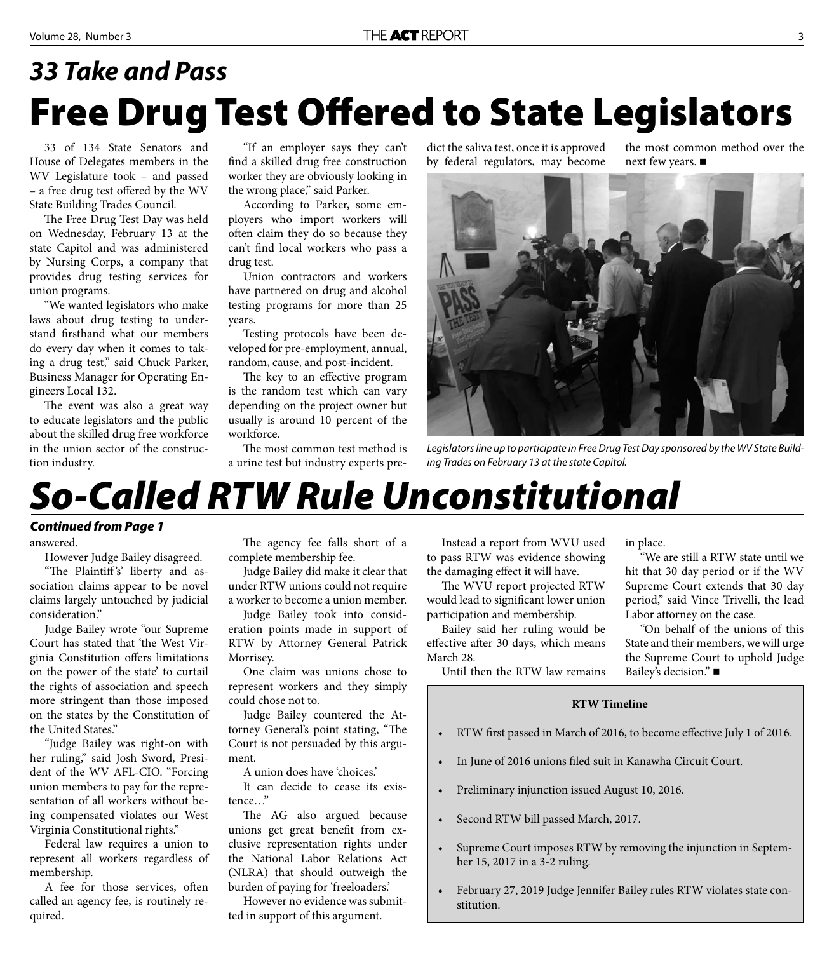## **Free Drug Test Offered to State Legislators** *33 Take and Pass*

33 of 134 State Senators and House of Delegates members in the WV Legislature took – and passed – a free drug test offered by the WV State Building Trades Council.

The Free Drug Test Day was held on Wednesday, February 13 at the state Capitol and was administered by Nursing Corps, a company that provides drug testing services for union programs.

"We wanted legislators who make laws about drug testing to understand firsthand what our members do every day when it comes to taking a drug test," said Chuck Parker, Business Manager for Operating Engineers Local 132.

The event was also a great way to educate legislators and the public about the skilled drug free workforce in the union sector of the construction industry.

"If an employer says they can't find a skilled drug free construction worker they are obviously looking in the wrong place," said Parker.

According to Parker, some employers who import workers will often claim they do so because they can't find local workers who pass a drug test.

Union contractors and workers have partnered on drug and alcohol testing programs for more than 25 years.

Testing protocols have been developed for pre-employment, annual, random, cause, and post-incident.

The key to an effective program is the random test which can vary depending on the project owner but usually is around 10 percent of the workforce.

The most common test method is a urine test but industry experts predict the saliva test, once it is approved by federal regulators, may become

the most common method over the next few years. ■



Legislators line up to participate in Free Drug Test Day sponsored by the WV State Building Trades on February 13 at the state Capitol.

## *So-Called RTW Rule Unconstitutional*

### *Continued from Page 1*

answered.

However Judge Bailey disagreed.

"The Plaintiff's' liberty and association claims appear to be novel claims largely untouched by judicial consideration."

Judge Bailey wrote "our Supreme Court has stated that 'the West Virginia Constitution offers limitations on the power of the state' to curtail the rights of association and speech more stringent than those imposed on the states by the Constitution of the United States."

"Judge Bailey was right-on with her ruling," said Josh Sword, President of the WV AFL-CIO. "Forcing union members to pay for the representation of all workers without being compensated violates our West Virginia Constitutional rights."

Federal law requires a union to represent all workers regardless of membership.

A fee for those services, often called an agency fee, is routinely required.

The agency fee falls short of a complete membership fee.

Judge Bailey did make it clear that under RTW unions could not require a worker to become a union member.

Judge Bailey took into consideration points made in support of RTW by Attorney General Patrick Morrisey.

One claim was unions chose to represent workers and they simply could chose not to.

Judge Bailey countered the Attorney General's point stating, "The Court is not persuaded by this argument.

A union does have 'choices.'

It can decide to cease its existence…"

The AG also argued because unions get great benefit from exclusive representation rights under the National Labor Relations Act (NLRA) that should outweigh the burden of paying for 'freeloaders.'

However no evidence was submitted in support of this argument.

Instead a report from WVU used to pass RTW was evidence showing the damaging effect it will have.

The WVU report projected RTW would lead to significant lower union participation and membership.

Bailey said her ruling would be effective after 30 days, which means March 28.

in place.

"We are still a RTW state until we hit that 30 day period or if the WV Supreme Court extends that 30 day period," said Vince Trivelli, the lead Labor attorney on the case.

"On behalf of the unions of this State and their members, we will urge the Supreme Court to uphold Judge Bailey's decision." ■

Until then the RTW law remains

### **RTW Timeline**

- RTW first passed in March of 2016, to become effective July 1 of 2016.
- In June of 2016 unions filed suit in Kanawha Circuit Court.
- Preliminary injunction issued August 10, 2016.
- Second RTW bill passed March, 2017.
- Supreme Court imposes RTW by removing the injunction in September 15, 2017 in a 3-2 ruling.
- February 27, 2019 Judge Jennifer Bailey rules RTW violates state constitution.